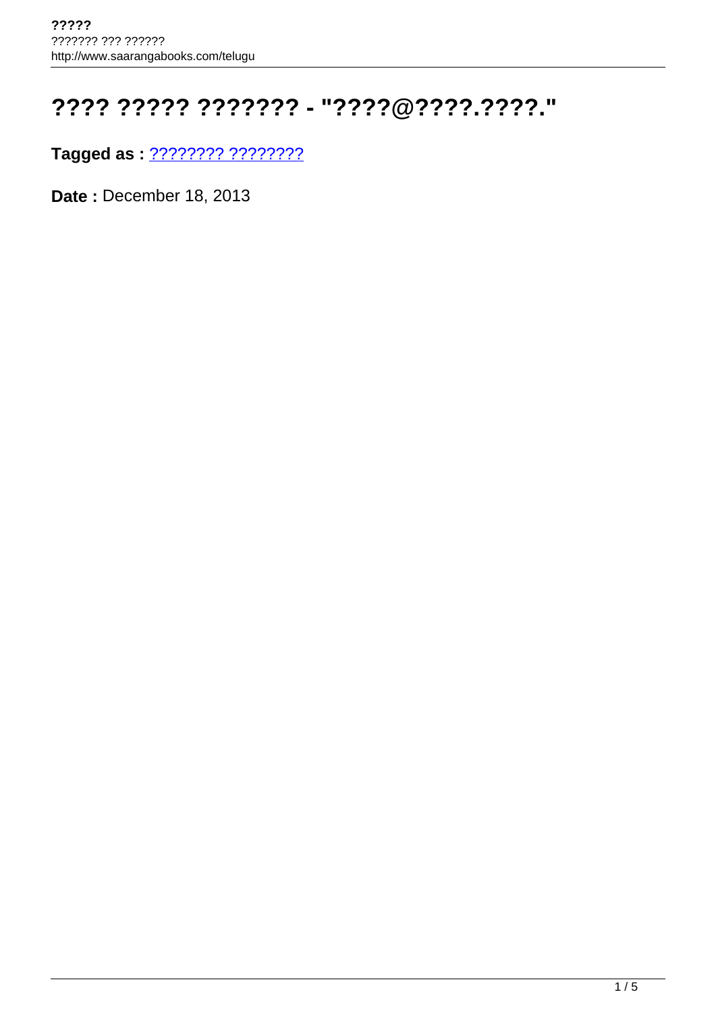## **???? ????? ??????? - "????@????.????."**

**Tagged as :** [???????? ????????](http://www.saarangabooks.com/telugu/tag/%e0%b0%95%e0%b1%8a%e0%b0%b2%e0%b1%8d%e0%b0%b2%e0%b1%82%e0%b0%b0%e0%b0%bf-%e0%b0%b8%e0%b1%8b%e0%b0%ae%e0%b0%b6%e0%b0%82%e0%b0%95%e0%b0%b0%e0%b1%8d/)

**Date :** December 18, 2013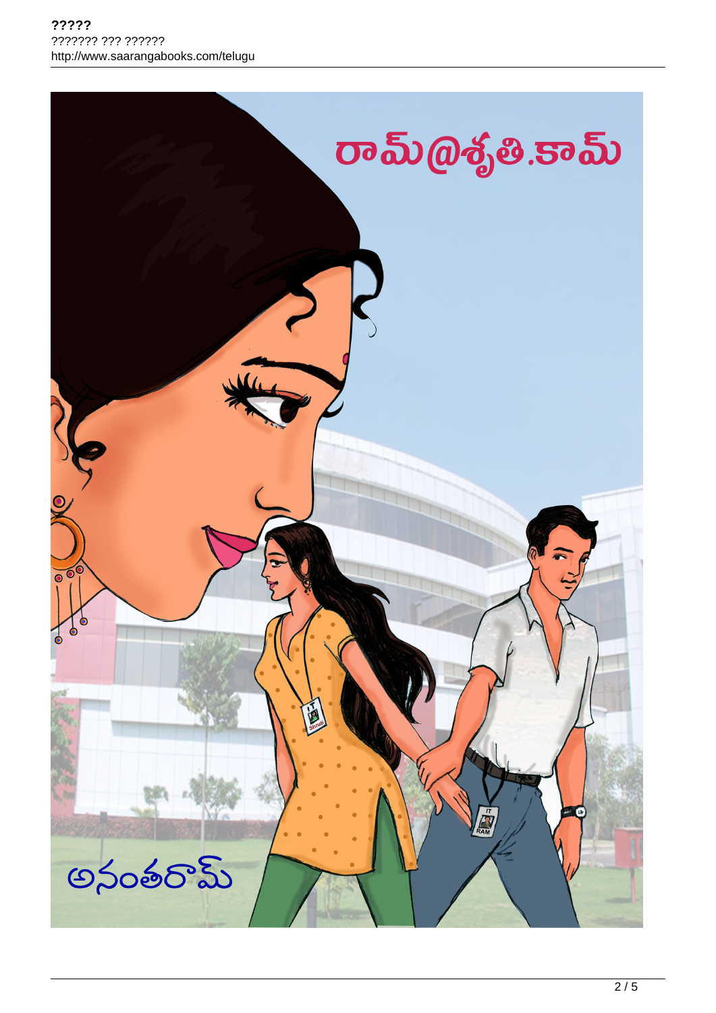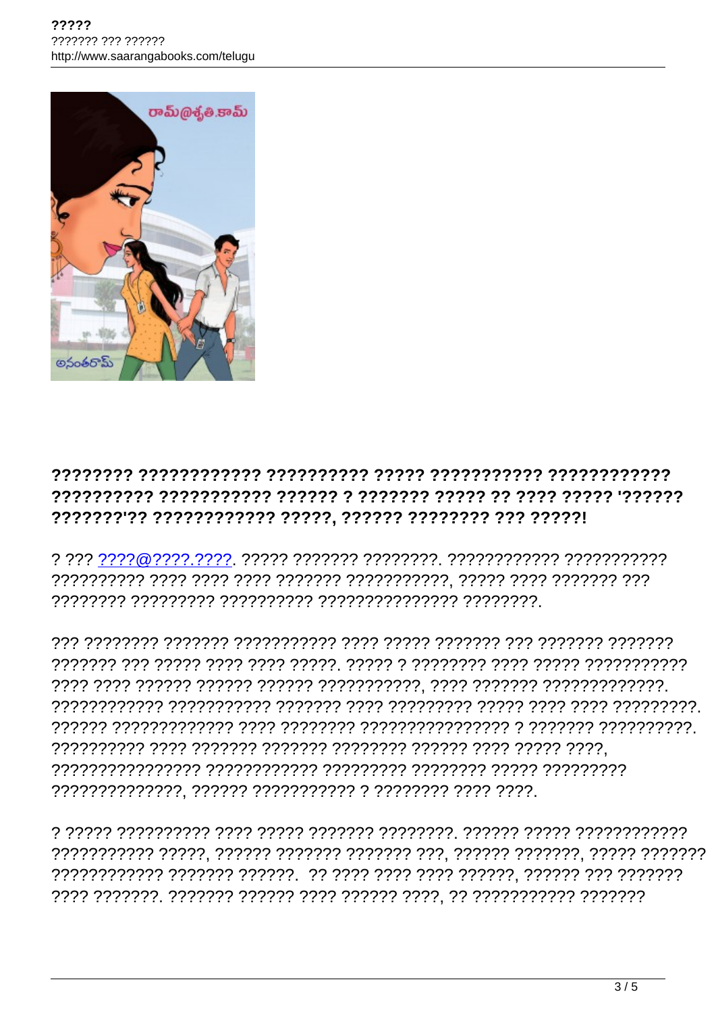

##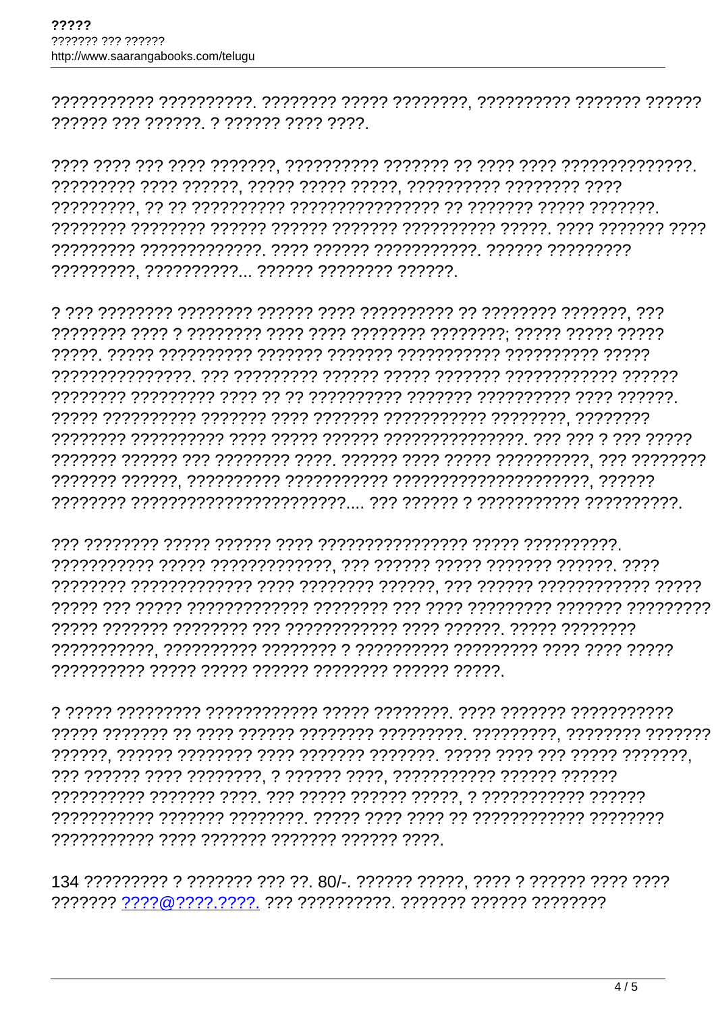?????? ??? ??????. ? ?????? ???? ????.